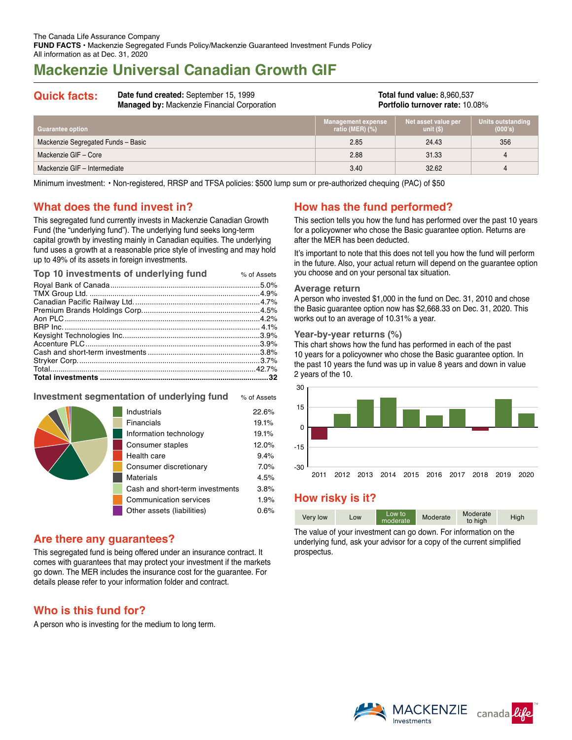# **Mackenzie Universal Canadian Growth GIF**

#### **Quick facts: Date fund created:** September 15, 1999 **Managed by:** Mackenzie Financial Corporation **Total fund value:** 8,960,537 **Portfolio turnover rate:** 10.08%

| <b>Guarantee option</b>            | <b>Management expense</b><br>ratio (MER) $(\%)$ | Net asset value per<br>unit $(S)$ | Units outstanding<br>(000's) |
|------------------------------------|-------------------------------------------------|-----------------------------------|------------------------------|
| Mackenzie Segregated Funds - Basic | 2.85                                            | 24.43                             | 356                          |
| Mackenzie GIF - Core               | 2.88                                            | 31.33                             | 4                            |
| Mackenzie GIF - Intermediate       | 3.40                                            | 32.62                             | $\overline{a}$               |

Minimum investment: • Non-registered, RRSP and TFSA policies: \$500 lump sum or pre-authorized chequing (PAC) of \$50

### **What does the fund invest in?**

This segregated fund currently invests in Mackenzie Canadian Growth Fund (the "underlying fund"). The underlying fund seeks long-term capital growth by investing mainly in Canadian equities. The underlying fund uses a growth at a reasonable price style of investing and may hold up to 49% of its assets in foreign investments.

| Top 10 investments of underlying fund | % of Assets |
|---------------------------------------|-------------|
|                                       |             |
|                                       |             |
|                                       |             |
|                                       |             |
|                                       |             |
|                                       |             |
|                                       |             |
|                                       |             |
|                                       |             |
|                                       |             |
|                                       |             |
|                                       |             |

#### **Investment segmentation of underlying fund** % of Assets

|  | Industrials                     | 22.6% |
|--|---------------------------------|-------|
|  | Financials                      | 19.1% |
|  | Information technology          | 19.1% |
|  | Consumer staples                | 12.0% |
|  | Health care                     | 9.4%  |
|  | Consumer discretionary          | 7.0%  |
|  | <b>Materials</b>                | 4.5%  |
|  | Cash and short-term investments | 3.8%  |
|  | <b>Communication services</b>   | 1.9%  |
|  | Other assets (liabilities)      | 0.6%  |
|  |                                 |       |

### **Are there any guarantees?**

This segregated fund is being offered under an insurance contract. It comes with guarantees that may protect your investment if the markets go down. The MER includes the insurance cost for the guarantee. For details please refer to your information folder and contract.

### **Who is this fund for?**

A person who is investing for the medium to long term.

## **How has the fund performed?**

This section tells you how the fund has performed over the past 10 years for a policyowner who chose the Basic guarantee option. Returns are after the MER has been deducted.

It's important to note that this does not tell you how the fund will perform in the future. Also, your actual return will depend on the guarantee option you choose and on your personal tax situation.

#### **Average return**

A person who invested \$1,000 in the fund on Dec. 31, 2010 and chose the Basic guarantee option now has \$2,668.33 on Dec. 31, 2020. This works out to an average of 10.31% a year.

#### **Year-by-year returns (%)**

This chart shows how the fund has performed in each of the past 10 years for a policyowner who chose the Basic guarantee option. In the past 10 years the fund was up in value 8 years and down in value 2 years of the 10.



### **How risky is it?**

| Moderate<br>High<br>Very low<br>LOW<br>moderate<br>to high |  |  | Low to |  | Moderate |  |
|------------------------------------------------------------|--|--|--------|--|----------|--|
|------------------------------------------------------------|--|--|--------|--|----------|--|

The value of your investment can go down. For information on the underlying fund, ask your advisor for a copy of the current simplified prospectus.